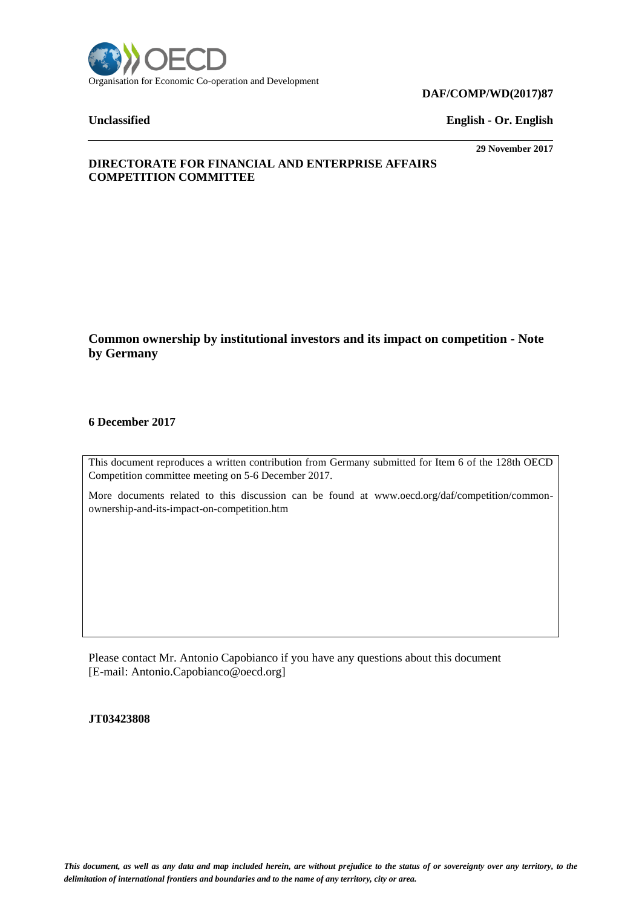

#### **DAF/COMP/WD(2017)87**

**Unclassified English - Or. English**

**29 November 2017**

# **DIRECTORATE FOR FINANCIAL AND ENTERPRISE AFFAIRS COMPETITION COMMITTEE**

**Common ownership by institutional investors and its impact on competition - Note by Germany**

### **6 December 2017**

This document reproduces a written contribution from Germany submitted for Item 6 of the 128th OECD Competition committee meeting on 5-6 December 2017.

More documents related to this discussion can be found at www.oecd.org/daf/competition/commonownership-and-its-impact-on-competition.htm

Please contact Mr. Antonio Capobianco if you have any questions about this document [E-mail: Antonio.Capobianco@oecd.org]

**JT03423808**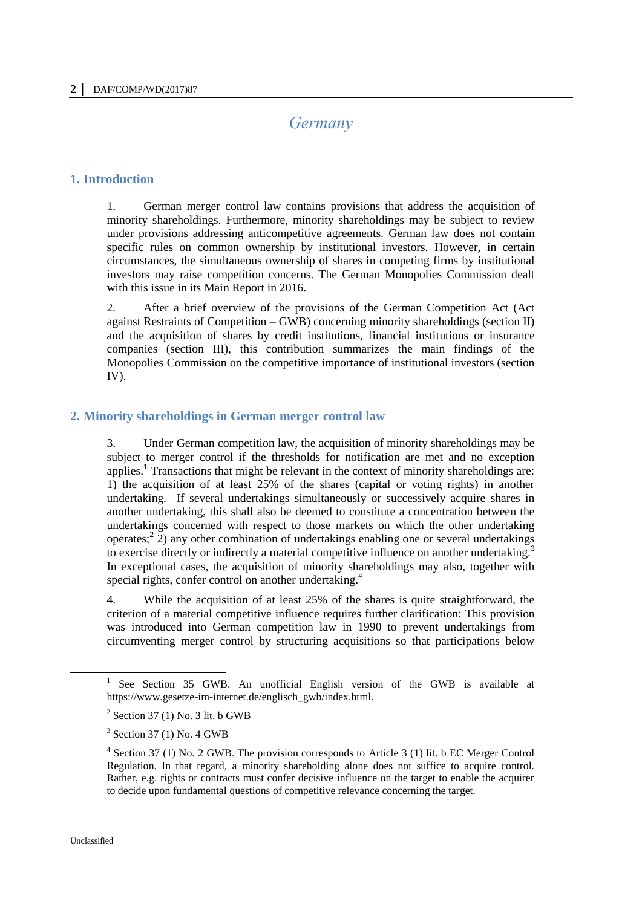# *Germany*

#### **1. Introduction**

1. German merger control law contains provisions that address the acquisition of minority shareholdings. Furthermore, minority shareholdings may be subject to review under provisions addressing anticompetitive agreements. German law does not contain specific rules on common ownership by institutional investors. However, in certain circumstances, the simultaneous ownership of shares in competing firms by institutional investors may raise competition concerns. The German Monopolies Commission dealt with this issue in its Main Report in 2016.

2. After a brief overview of the provisions of the German Competition Act (Act against Restraints of Competition – GWB) concerning minority shareholdings (section II) and the acquisition of shares by credit institutions, financial institutions or insurance companies (section III), this contribution summarizes the main findings of the Monopolies Commission on the competitive importance of institutional investors (section IV).

#### **2. Minority shareholdings in German merger control law**

3. Under German competition law, the acquisition of minority shareholdings may be subject to merger control if the thresholds for notification are met and no exception applies.<sup>1</sup> Transactions that might be relevant in the context of minority shareholdings are: 1) the acquisition of at least 25% of the shares (capital or voting rights) in another undertaking. If several undertakings simultaneously or successively acquire shares in another undertaking, this shall also be deemed to constitute a concentration between the undertakings concerned with respect to those markets on which the other undertaking operates;<sup>2</sup> 2) any other combination of undertakings enabling one or several undertakings to exercise directly or indirectly a material competitive influence on another undertaking.<sup>3</sup> In exceptional cases, the acquisition of minority shareholdings may also, together with special rights, confer control on another undertaking.<sup>4</sup>

4. While the acquisition of at least 25% of the shares is quite straightforward, the criterion of a material competitive influence requires further clarification: This provision was introduced into German competition law in 1990 to prevent undertakings from circumventing merger control by structuring acquisitions so that participations below

 $\overline{a}$ 

<sup>1</sup> See Section 35 GWB. An unofficial English version of the GWB is available at https://www.gesetze-im-internet.de/englisch\_gwb/index.html.

 $2$  Section 37 (1) No. 3 lit. b GWB

<sup>&</sup>lt;sup>3</sup> Section 37 (1) No. 4 GWB

<sup>&</sup>lt;sup>4</sup> Section 37 (1) No. 2 GWB. The provision corresponds to Article 3 (1) lit. b EC Merger Control Regulation. In that regard, a minority shareholding alone does not suffice to acquire control. Rather, e.g. rights or contracts must confer decisive influence on the target to enable the acquirer to decide upon fundamental questions of competitive relevance concerning the target.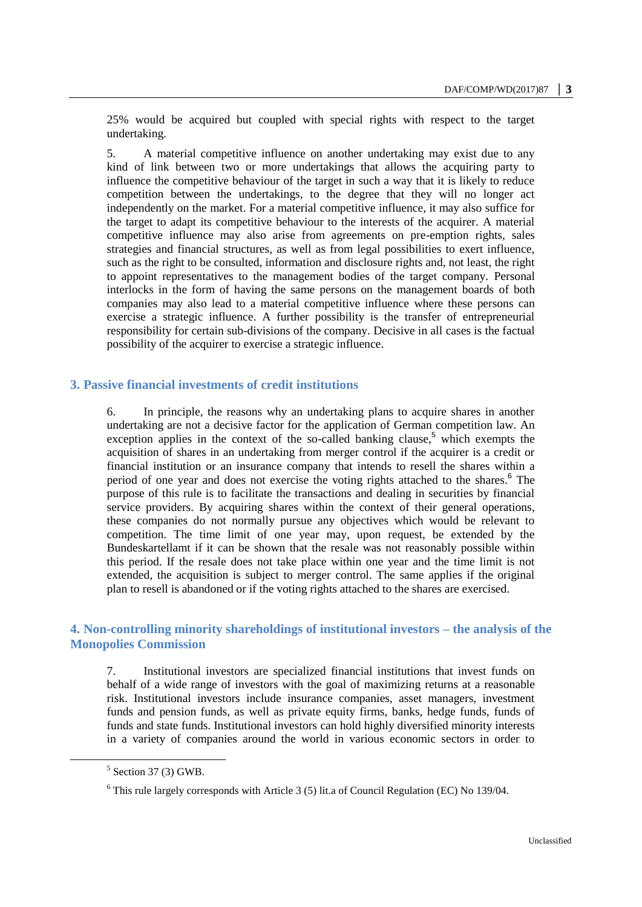25% would be acquired but coupled with special rights with respect to the target undertaking.

5. A material competitive influence on another undertaking may exist due to any kind of link between two or more undertakings that allows the acquiring party to influence the competitive behaviour of the target in such a way that it is likely to reduce competition between the undertakings, to the degree that they will no longer act independently on the market. For a material competitive influence, it may also suffice for the target to adapt its competitive behaviour to the interests of the acquirer. A material competitive influence may also arise from agreements on pre-emption rights, sales strategies and financial structures, as well as from legal possibilities to exert influence, such as the right to be consulted, information and disclosure rights and, not least, the right to appoint representatives to the management bodies of the target company. Personal interlocks in the form of having the same persons on the management boards of both companies may also lead to a material competitive influence where these persons can exercise a strategic influence. A further possibility is the transfer of entrepreneurial responsibility for certain sub-divisions of the company. Decisive in all cases is the factual possibility of the acquirer to exercise a strategic influence.

### **3. Passive financial investments of credit institutions**

6. In principle, the reasons why an undertaking plans to acquire shares in another undertaking are not a decisive factor for the application of German competition law. An exception applies in the context of the so-called banking clause,  $5$  which exempts the acquisition of shares in an undertaking from merger control if the acquirer is a credit or financial institution or an insurance company that intends to resell the shares within a period of one year and does not exercise the voting rights attached to the shares.<sup>6</sup> The purpose of this rule is to facilitate the transactions and dealing in securities by financial service providers. By acquiring shares within the context of their general operations, these companies do not normally pursue any objectives which would be relevant to competition. The time limit of one year may, upon request, be extended by the Bundeskartellamt if it can be shown that the resale was not reasonably possible within this period. If the resale does not take place within one year and the time limit is not extended, the acquisition is subject to merger control. The same applies if the original plan to resell is abandoned or if the voting rights attached to the shares are exercised.

# **4. Non-controlling minority shareholdings of institutional investors – the analysis of the Monopolies Commission**

7. Institutional investors are specialized financial institutions that invest funds on behalf of a wide range of investors with the goal of maximizing returns at a reasonable risk. Institutional investors include insurance companies, asset managers, investment funds and pension funds, as well as private equity firms, banks, hedge funds, funds of funds and state funds. Institutional investors can hold highly diversified minority interests in a variety of companies around the world in various economic sectors in order to

 $<sup>5</sup>$  Section 37 (3) GWB.</sup>

 $6$  This rule largely corresponds with Article 3 (5) lit.a of Council Regulation (EC) No 139/04.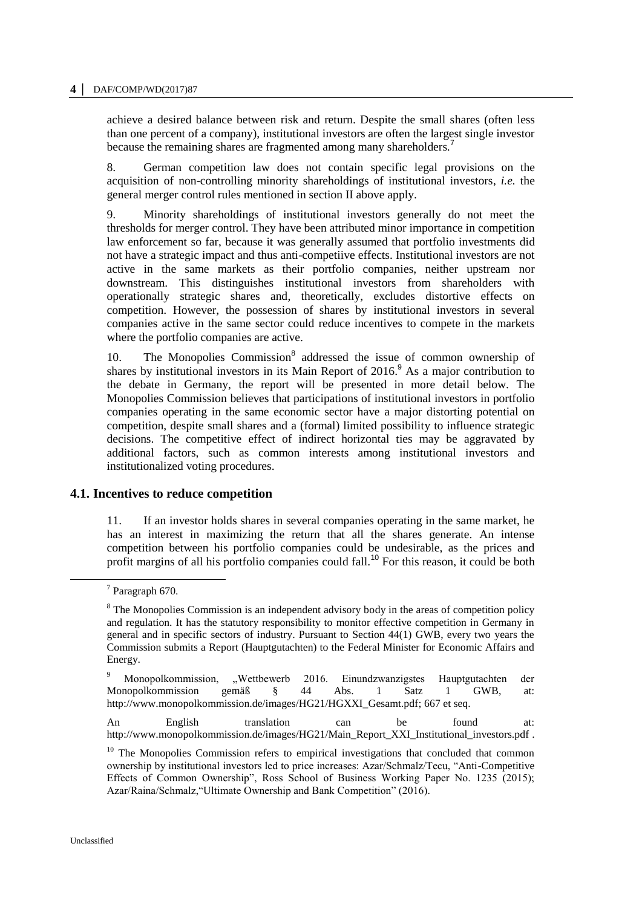achieve a desired balance between risk and return. Despite the small shares (often less than one percent of a company), institutional investors are often the largest single investor because the remaining shares are fragmented among many shareholders.<sup>7</sup>

8. German competition law does not contain specific legal provisions on the acquisition of non-controlling minority shareholdings of institutional investors, *i.e.* the general merger control rules mentioned in section II above apply.

9. Minority shareholdings of institutional investors generally do not meet the thresholds for merger control. They have been attributed minor importance in competition law enforcement so far, because it was generally assumed that portfolio investments did not have a strategic impact and thus anti-competiive effects. Institutional investors are not active in the same markets as their portfolio companies, neither upstream nor downstream. This distinguishes institutional investors from shareholders with operationally strategic shares and, theoretically, excludes distortive effects on competition. However, the possession of shares by institutional investors in several companies active in the same sector could reduce incentives to compete in the markets where the portfolio companies are active.

10. The Monopolies Commission<sup>8</sup> addressed the issue of common ownership of shares by institutional investors in its Main Report of 2016.<sup>9</sup> As a major contribution to the debate in Germany, the report will be presented in more detail below. The Monopolies Commission believes that participations of institutional investors in portfolio companies operating in the same economic sector have a major distorting potential on competition, despite small shares and a (formal) limited possibility to influence strategic decisions. The competitive effect of indirect horizontal ties may be aggravated by additional factors, such as common interests among institutional investors and institutionalized voting procedures.

# **4.1. Incentives to reduce competition**

11. If an investor holds shares in several companies operating in the same market, he has an interest in maximizing the return that all the shares generate. An intense competition between his portfolio companies could be undesirable, as the prices and profit margins of all his portfolio companies could fall.<sup>10</sup> For this reason, it could be both

 $\overline{a}$ 

<sup>7</sup> Paragraph 670.

<sup>&</sup>lt;sup>8</sup> The Monopolies Commission is an independent advisory body in the areas of competition policy and regulation. It has the statutory responsibility to monitor effective competition in Germany in general and in specific sectors of industry. Pursuant to Section 44(1) GWB, every two years the Commission submits a Report (Hauptgutachten) to the Federal Minister for Economic Affairs and Energy.

<sup>9</sup> Monopolkommission, "Wettbewerb 2016. Einundzwanzigstes Hauptgutachten der Monopolkommission gemäß § 44 Abs. 1 Satz 1 GWB, at: [http://www.monopolkommission.de/images/HG21/HGXXI\\_Gesamt.pdf;](http://www.monopolkommission.de/images/HG21/HGXXI_Gesamt.pdf) 667 et seq.

An English translation can be found at: [http://www.monopolkommission.de/images/HG21/Main\\_Report\\_XXI\\_Institutional\\_investors.pdf](http://www.monopolkommission.de/images/HG21/Main_Report_XXI_Institutional_investors.pdf) .

<sup>&</sup>lt;sup>10</sup> The Monopolies Commission refers to empirical investigations that concluded that common ownership by institutional investors led to price increases: Azar/Schmalz/Tecu, "Anti-Competitive Effects of Common Ownership", Ross School of Business Working Paper No. 1235 (2015); Azar/Raina/Schmalz,"Ultimate Ownership and Bank Competition" (2016).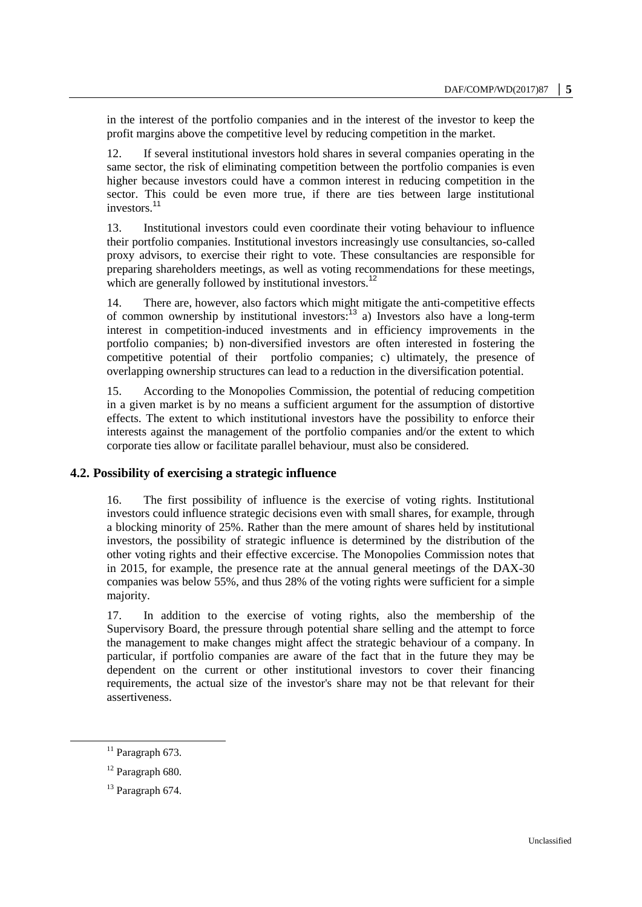in the interest of the portfolio companies and in the interest of the investor to keep the profit margins above the competitive level by reducing competition in the market.

12. If several institutional investors hold shares in several companies operating in the same sector, the risk of eliminating competition between the portfolio companies is even higher because investors could have a common interest in reducing competition in the sector. This could be even more true, if there are ties between large institutional investors.<sup>11</sup>

13. Institutional investors could even coordinate their voting behaviour to influence their portfolio companies. Institutional investors increasingly use consultancies, so-called proxy advisors, to exercise their right to vote. These consultancies are responsible for preparing shareholders meetings, as well as voting recommendations for these meetings, which are generally followed by institutional investors.<sup>12</sup>

14. There are, however, also factors which might mitigate the anti-competitive effects of common ownership by institutional investors:<sup>13</sup> a) Investors also have a long-term interest in competition-induced investments and in efficiency improvements in the portfolio companies; b) non-diversified investors are often interested in fostering the competitive potential of their portfolio companies; c) ultimately, the presence of overlapping ownership structures can lead to a reduction in the diversification potential.

15. According to the Monopolies Commission, the potential of reducing competition in a given market is by no means a sufficient argument for the assumption of distortive effects. The extent to which institutional investors have the possibility to enforce their interests against the management of the portfolio companies and/or the extent to which corporate ties allow or facilitate parallel behaviour, must also be considered.

#### **4.2. Possibility of exercising a strategic influence**

16. The first possibility of influence is the exercise of voting rights. Institutional investors could influence strategic decisions even with small shares, for example, through a blocking minority of 25%. Rather than the mere amount of shares held by institutional investors, the possibility of strategic influence is determined by the distribution of the other voting rights and their effective excercise. The Monopolies Commission notes that in 2015, for example, the presence rate at the annual general meetings of the DAX-30 companies was below 55%, and thus 28% of the voting rights were sufficient for a simple majority.

17. In addition to the exercise of voting rights, also the membership of the Supervisory Board, the pressure through potential share selling and the attempt to force the management to make changes might affect the strategic behaviour of a company. In particular, if portfolio companies are aware of the fact that in the future they may be dependent on the current or other institutional investors to cover their financing requirements, the actual size of the investor's share may not be that relevant for their assertiveness.

 $^{11}$  Paragraph 673.

 $12$  Paragraph 680.

 $13$  Paragraph 674.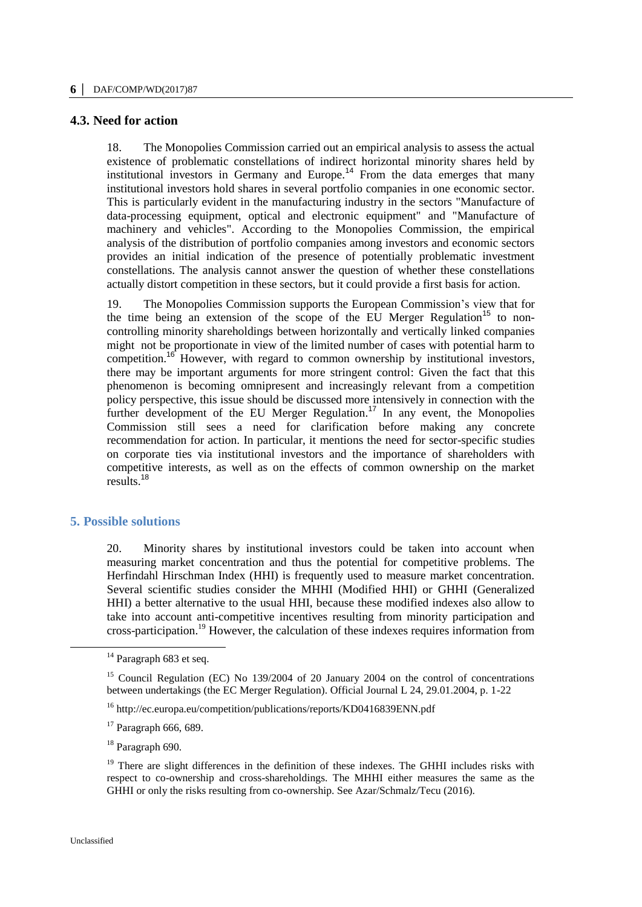#### **4.3. Need for action**

18. The Monopolies Commission carried out an empirical analysis to assess the actual existence of problematic constellations of indirect horizontal minority shares held by institutional investors in Germany and Europe.<sup>14</sup> From the data emerges that many institutional investors hold shares in several portfolio companies in one economic sector. This is particularly evident in the manufacturing industry in the sectors "Manufacture of data-processing equipment, optical and electronic equipment" and "Manufacture of machinery and vehicles". According to the Monopolies Commission, the empirical analysis of the distribution of portfolio companies among investors and economic sectors provides an initial indication of the presence of potentially problematic investment constellations. The analysis cannot answer the question of whether these constellations actually distort competition in these sectors, but it could provide a first basis for action.

19. The Monopolies Commission supports the European Commission's view that for the time being an extension of the scope of the EU Merger Regulation<sup>15</sup> to noncontrolling minority shareholdings between horizontally and vertically linked companies might not be proportionate in view of the limited number of cases with potential harm to competition.<sup>16</sup> However, with regard to common ownership by institutional investors, there may be important arguments for more stringent control: Given the fact that this phenomenon is becoming omnipresent and increasingly relevant from a competition policy perspective, this issue should be discussed more intensively in connection with the further development of the EU Merger Regulation.<sup>17</sup> In any event, the Monopolies Commission still sees a need for clarification before making any concrete recommendation for action. In particular, it mentions the need for sector-specific studies on corporate ties via institutional investors and the importance of shareholders with competitive interests, as well as on the effects of common ownership on the market results.<sup>18</sup>

#### **5. Possible solutions**

20. Minority shares by institutional investors could be taken into account when measuring market concentration and thus the potential for competitive problems. The Herfindahl Hirschman Index (HHI) is frequently used to measure market concentration. Several scientific studies consider the MHHI (Modified HHI) or GHHI (Generalized HHI) a better alternative to the usual HHI, because these modified indexes also allow to take into account anti-competitive incentives resulting from minority participation and cross-participation.<sup>19</sup> However, the calculation of these indexes requires information from

<sup>18</sup> Paragraph 690.

 $\overline{a}$ 

<sup>&</sup>lt;sup>14</sup> Paragraph 683 et seq.

<sup>&</sup>lt;sup>15</sup> Council Regulation (EC) No 139/2004 of 20 January 2004 on the control of concentrations between undertakings (the EC Merger Regulation). Official Journal L 24, 29.01.2004, p. 1-22

<sup>16</sup> http://ec.europa.eu/competition/publications/reports/KD0416839ENN.pdf

 $17$  Paragraph 666, 689.

<sup>&</sup>lt;sup>19</sup> There are slight differences in the definition of these indexes. The GHHI includes risks with respect to co-ownership and cross-shareholdings. The MHHI either measures the same as the GHHI or only the risks resulting from co-ownership. See Azar/Schmalz/Tecu (2016).